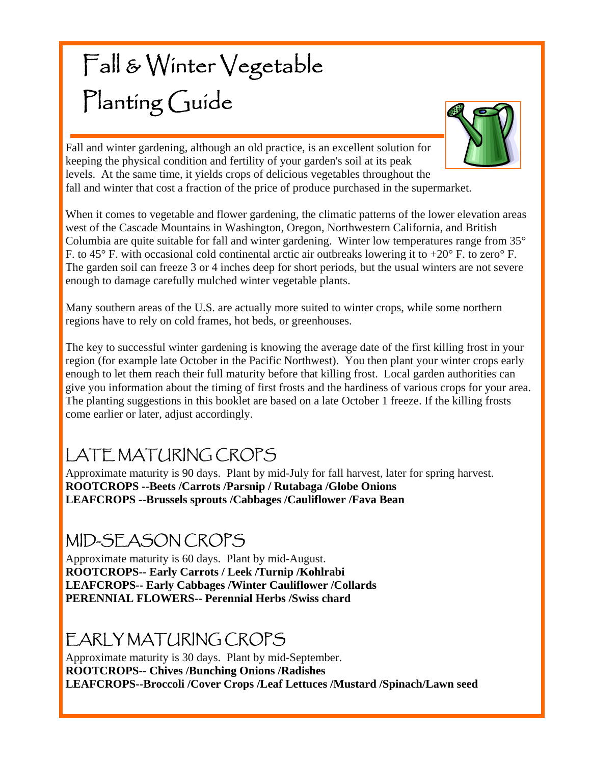# Fall & Winter Vegetable Planting Guide



Fall and winter gardening, although an old practice, is an excellent solution for keeping the physical condition and fertility of your garden's soil at its peak levels. At the same time, it yields crops of delicious vegetables throughout the fall and winter that cost a fraction of the price of produce purchased in the supermarket.

When it comes to vegetable and flower gardening, the climatic patterns of the lower elevation areas west of the Cascade Mountains in Washington, Oregon, Northwestern California, and British Columbia are quite suitable for fall and winter gardening. Winter low temperatures range from 35° F. to 45 $\degree$  F. with occasional cold continental arctic air outbreaks lowering it to +20 $\degree$  F. to zero $\degree$  F. The garden soil can freeze 3 or 4 inches deep for short periods, but the usual winters are not severe enough to damage carefully mulched winter vegetable plants.

Many southern areas of the U.S. are actually more suited to winter crops, while some northern regions have to rely on cold frames, hot beds, or greenhouses.

The key to successful winter gardening is knowing the average date of the first killing frost in your region (for example late October in the Pacific Northwest). You then plant your winter crops early enough to let them reach their full maturity before that killing frost. Local garden authorities can give you information about the timing of first frosts and the hardiness of various crops for your area. The planting suggestions in this booklet are based on a late October 1 freeze. If the killing frosts come earlier or later, adjust accordingly.

# LATE MATURING CROPS

Approximate maturity is 90 days. Plant by mid-July for fall harvest, later for spring harvest. **ROOTCROPS --Beets /Carrots /Parsnip / Rutabaga /Globe Onions LEAFCROPS --Brussels sprouts /Cabbages /Cauliflower /Fava Bean** 

### MID-SEASON CROPS

Approximate maturity is 60 days. Plant by mid-August. **ROOTCROPS-- Early Carrots / Leek /Turnip /Kohlrabi LEAFCROPS-- Early Cabbages /Winter Cauliflower /Collards PERENNIAL FLOWERS-- Perennial Herbs /Swiss chard** 

### EARLY MATURING CROPS

Approximate maturity is 30 days. Plant by mid-September. **ROOTCROPS-- Chives /Bunching Onions /Radishes LEAFCROPS--Broccoli /Cover Crops /Leaf Lettuces /Mustard /Spinach/Lawn seed**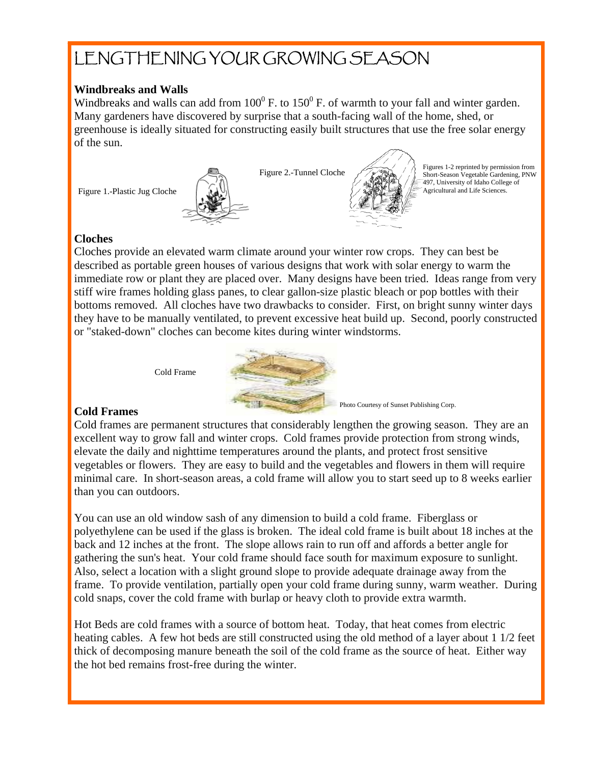## LENGTHENING YOUR GROWING SEASON

#### **Windbreaks and Walls**

Windbreaks and walls can add from  $100^{\circ}$  F. to  $150^{\circ}$  F. of warmth to your fall and winter garden. Many gardeners have discovered by surprise that a south-facing wall of the home, shed, or greenhouse is ideally situated for constructing easily built structures that use the free solar energy of the sun.

Figure 1.-Plastic Jug Cloche



Figure 2.-Tunnel Cloche



Photo Courtesy of Sunset Publishing Corp.

Figures 1-2 reprinted by permission from Short-Season Vegetable Gardening, PNW 497, University of Idaho College of

#### **Cloches**

Cloches provide an elevated warm climate around your winter row crops. They can best be described as portable green houses of various designs that work with solar energy to warm the immediate row or plant they are placed over. Many designs have been tried. Ideas range from very stiff wire frames holding glass panes, to clear gallon-size plastic bleach or pop bottles with their bottoms removed. All cloches have two drawbacks to consider. First, on bright sunny winter days they have to be manually ventilated, to prevent excessive heat build up. Second, poorly constructed or "staked-down" cloches can become kites during winter windstorms.



#### **Cold Frames**

Cold Frame

Cold frames are permanent structures that considerably lengthen the growing season. They are an excellent way to grow fall and winter crops. Cold frames provide protection from strong winds, elevate the daily and nighttime temperatures around the plants, and protect frost sensitive vegetables or flowers. They are easy to build and the vegetables and flowers in them will require minimal care. In short-season areas, a cold frame will allow you to start seed up to 8 weeks earlier than you can outdoors.

You can use an old window sash of any dimension to build a cold frame. Fiberglass or polyethylene can be used if the glass is broken. The ideal cold frame is built about 18 inches at the back and 12 inches at the front. The slope allows rain to run off and affords a better angle for gathering the sun's heat. Your cold frame should face south for maximum exposure to sunlight. Also, select a location with a slight ground slope to provide adequate drainage away from the frame. To provide ventilation, partially open your cold frame during sunny, warm weather. During cold snaps, cover the cold frame with burlap or heavy cloth to provide extra warmth.

Hot Beds are cold frames with a source of bottom heat. Today, that heat comes from electric heating cables. A few hot beds are still constructed using the old method of a layer about 1 1/2 feet thick of decomposing manure beneath the soil of the cold frame as the source of heat. Either way the hot bed remains frost-free during the winter.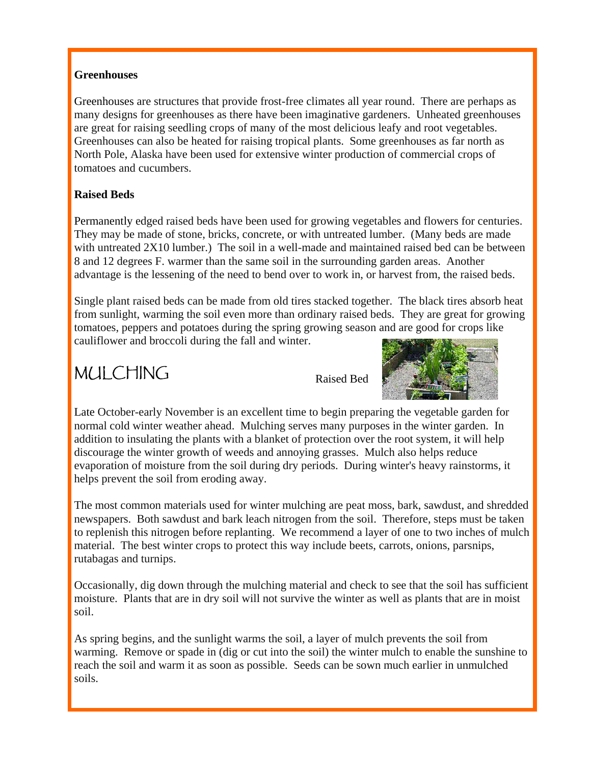#### **Greenhouses**

Greenhouses are structures that provide frost-free climates all year round. There are perhaps as many designs for greenhouses as there have been imaginative gardeners. Unheated greenhouses are great for raising seedling crops of many of the most delicious leafy and root vegetables. Greenhouses can also be heated for raising tropical plants. Some greenhouses as far north as North Pole, Alaska have been used for extensive winter production of commercial crops of tomatoes and cucumbers.

#### **Raised Beds**

Permanently edged raised beds have been used for growing vegetables and flowers for centuries. They may be made of stone, bricks, concrete, or with untreated lumber. (Many beds are made with untreated 2X10 lumber.) The soil in a well-made and maintained raised bed can be between 8 and 12 degrees F. warmer than the same soil in the surrounding garden areas. Another advantage is the lessening of the need to bend over to work in, or harvest from, the raised beds.

Single plant raised beds can be made from old tires stacked together. The black tires absorb heat from sunlight, warming the soil even more than ordinary raised beds. They are great for growing tomatoes, peppers and potatoes during the spring growing season and are good for crops like cauliflower and broccoli during the fall and winter.

### MULCHING





Late October-early November is an excellent time to begin preparing the vegetable garden for normal cold winter weather ahead. Mulching serves many purposes in the winter garden. In addition to insulating the plants with a blanket of protection over the root system, it will help discourage the winter growth of weeds and annoying grasses. Mulch also helps reduce evaporation of moisture from the soil during dry periods. During winter's heavy rainstorms, it helps prevent the soil from eroding away.

The most common materials used for winter mulching are peat moss, bark, sawdust, and shredded newspapers. Both sawdust and bark leach nitrogen from the soil. Therefore, steps must be taken to replenish this nitrogen before replanting. We recommend a layer of one to two inches of mulch material. The best winter crops to protect this way include beets, carrots, onions, parsnips, rutabagas and turnips.

Occasionally, dig down through the mulching material and check to see that the soil has sufficient moisture. Plants that are in dry soil will not survive the winter as well as plants that are in moist soil.

As spring begins, and the sunlight warms the soil, a layer of mulch prevents the soil from warming. Remove or spade in (dig or cut into the soil) the winter mulch to enable the sunshine to reach the soil and warm it as soon as possible. Seeds can be sown much earlier in unmulched soils.